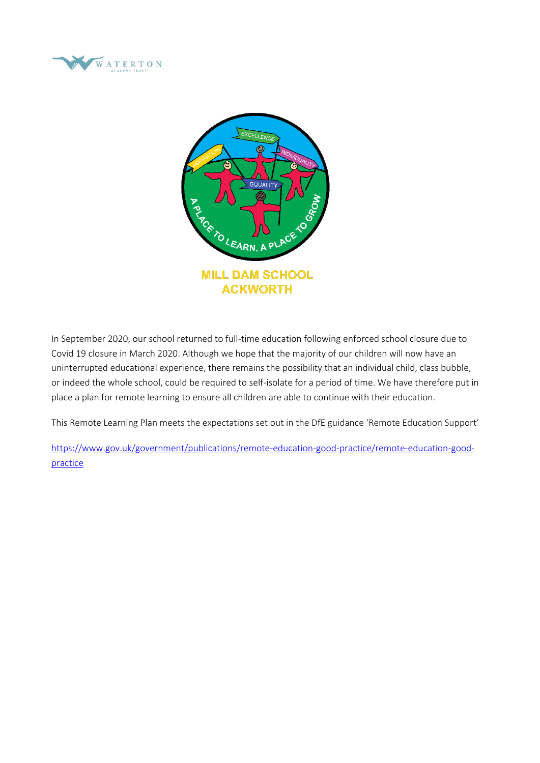



In September 2020, our school returned to full-time education following enforced school closure due to Covid 19 closure in March 2020. Although we hope that the majority of our children will now have an uninterrupted educational experience, there remains the possibility that an individual child, class bubble, or indeed the whole school, could be required to self-isolate for a period of time. We have therefore put in place a plan for remote learning to ensure all children are able to continue with their education.

This Remote Learning Plan meets the expectations set out in the DfE guidance 'Remote Education Support'

[https://www.gov.uk/government/publications/remote-education-good-practice/remote-education-good](https://www.gov.uk/government/publications/remote-education-good-practice/remote-education-good-practice)[practice](https://www.gov.uk/government/publications/remote-education-good-practice/remote-education-good-practice)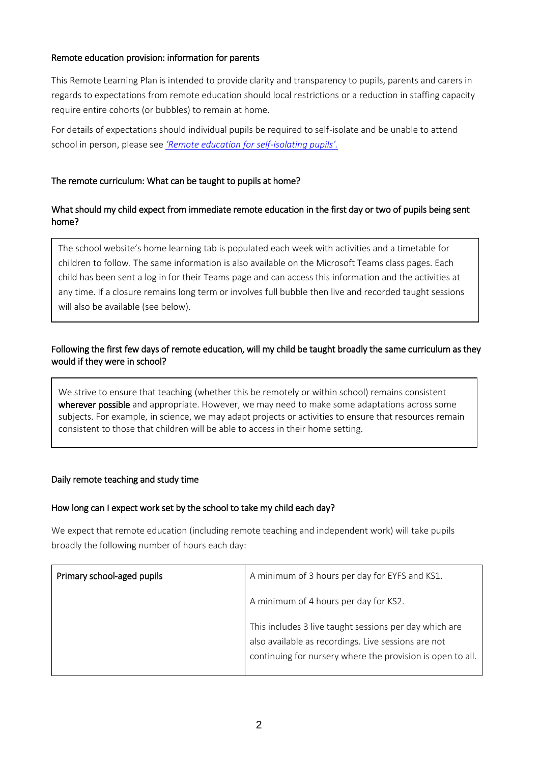## Remote education provision: information for parents

This Remote Learning Plan is intended to provide clarity and transparency to pupils, parents and carers in regards to expectations from remote education should local restrictions or a reduction in staffing capacity require entire cohorts (or bubbles) to remain at home.

For details of expectations should individual pupils be required to self-isolate and be unable to attend school in person, please see *['Remote education for self](#page-5-0)-isolating pupils'.*

## The remote curriculum: What can be taught to pupils at home?

## What should my child expect from immediate remote education in the first day or two of pupils being sent home?

The school website's home learning tab is populated each week with activities and a timetable for children to follow. The same information is also available on the Microsoft Teams class pages. Each child has been sent a log in for their Teams page and can access this information and the activities at any time. If a closure remains long term or involves full bubble then live and recorded taught sessions will also be available (see below).

# Following the first few days of remote education, will my child be taught broadly the same curriculum as they would if they were in school?

We strive to ensure that teaching (whether this be remotely or within school) remains consistent wherever possible and appropriate. However, we may need to make some adaptations across some subjects. For example, in science, we may adapt projects or activities to ensure that resources remain consistent to those that children will be able to access in their home setting.

## Daily remote teaching and study time

## How long can I expect work set by the school to take my child each day?

We expect that remote education (including remote teaching and independent work) will take pupils broadly the following number of hours each day:

| Primary school-aged pupils | A minimum of 3 hours per day for EYFS and KS1.                                                                                                                              |
|----------------------------|-----------------------------------------------------------------------------------------------------------------------------------------------------------------------------|
|                            | A minimum of 4 hours per day for KS2.                                                                                                                                       |
|                            | This includes 3 live taught sessions per day which are<br>also available as recordings. Live sessions are not<br>continuing for nursery where the provision is open to all. |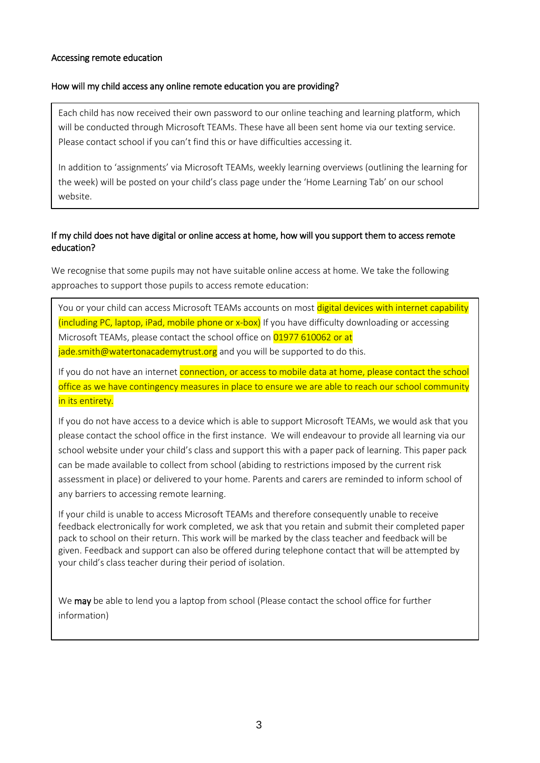## Accessing remote education

### How will my child access any online remote education you are providing?

Each child has now received their own password to our online teaching and learning platform, which will be conducted through Microsoft TEAMs. These have all been sent home via our texting service. Please contact school if you can't find this or have difficulties accessing it.

In addition to 'assignments' via Microsoft TEAMs, weekly learning overviews (outlining the learning for the week) will be posted on your child's class page under the 'Home Learning Tab' on our school website.

# If my child does not have digital or online access at home, how will you support them to access remote education?

We recognise that some pupils may not have suitable online access at home. We take the following approaches to support those pupils to access remote education:

You or your child can access Microsoft TEAMs accounts on most digital devices with internet capability (including PC, laptop, iPad, mobile phone or x-box) If you have difficulty downloading or accessing Microsoft TEAMs, please contact the school office on 01977 610062 or at jade.smith@watertonacademytrust.org and you will be supported to do this.

If you do not have an internet connection, or access to mobile data at home, please contact the school office as we have contingency measures in place to ensure we are able to reach our school community in its entirety.

If you do not have access to a device which is able to support Microsoft TEAMs, we would ask that you please contact the school office in the first instance. We will endeavour to provide all learning via our school website under your child's class and support this with a paper pack of learning. This paper pack can be made available to collect from school (abiding to restrictions imposed by the current risk assessment in place) or delivered to your home. Parents and carers are reminded to inform school of any barriers to accessing remote learning.

If your child is unable to access Microsoft TEAMs and therefore consequently unable to receive feedback electronically for work completed, we ask that you retain and submit their completed paper pack to school on their return. This work will be marked by the class teacher and feedback will be given. Feedback and support can also be offered during telephone contact that will be attempted by your child's class teacher during their period of isolation.

We may be able to lend you a laptop from school (Please contact the school office for further information)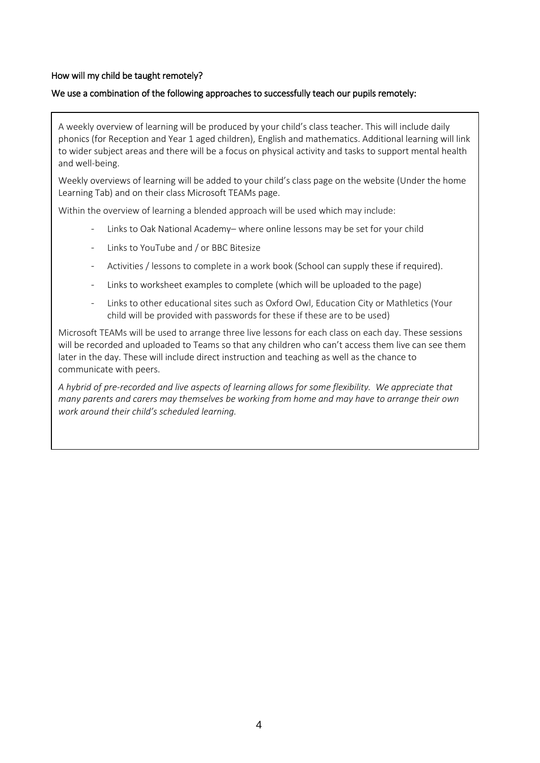## How will my child be taught remotely?

#### We use a combination of the following approaches to successfully teach our pupils remotely:

A weekly overview of learning will be produced by your child's class teacher. This will include daily phonics (for Reception and Year 1 aged children), English and mathematics. Additional learning will link to wider subject areas and there will be a focus on physical activity and tasks to support mental health and well-being.

Weekly overviews of learning will be added to your child's class page on the website (Under the home Learning Tab) and on their class Microsoft TEAMs page.

Within the overview of learning a blended approach will be used which may include:

- Links to Oak National Academy– where online lessons may be set for your child
- Links to YouTube and / or BBC Bitesize
- Activities / lessons to complete in a work book (School can supply these if required).
- Links to worksheet examples to complete (which will be uploaded to the page)
- Links to other educational sites such as Oxford Owl, Education City or Mathletics (Your child will be provided with passwords for these if these are to be used)

Microsoft TEAMs will be used to arrange three live lessons for each class on each day. These sessions will be recorded and uploaded to Teams so that any children who can't access them live can see them later in the day. These will include direct instruction and teaching as well as the chance to communicate with peers.

*A hybrid of pre-recorded and live aspects of learning allows for some flexibility. We appreciate that many parents and carers may themselves be working from home and may have to arrange their own work around their child's scheduled learning.*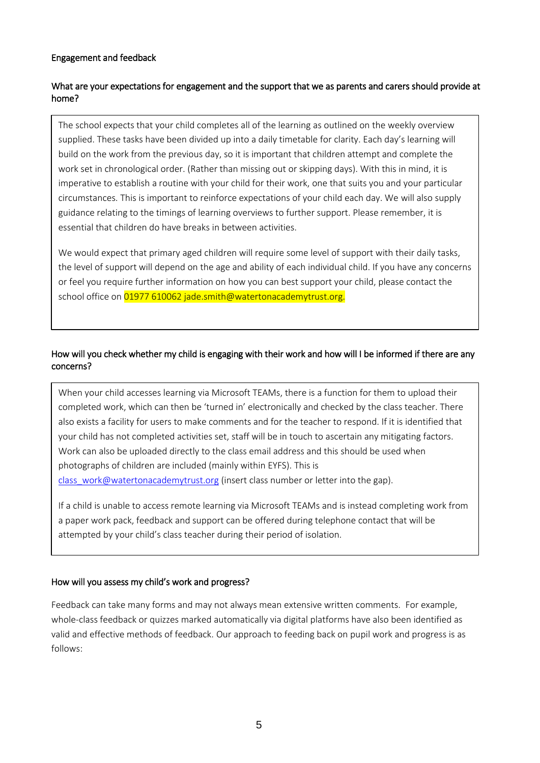## Engagement and feedback

## What are your expectations for engagement and the support that we as parents and carers should provide at home?

The school expects that your child completes all of the learning as outlined on the weekly overview supplied. These tasks have been divided up into a daily timetable for clarity. Each day's learning will build on the work from the previous day, so it is important that children attempt and complete the work set in chronological order. (Rather than missing out or skipping days). With this in mind, it is imperative to establish a routine with your child for their work, one that suits you and your particular circumstances. This is important to reinforce expectations of your child each day. We will also supply guidance relating to the timings of learning overviews to further support. Please remember, it is essential that children do have breaks in between activities.

We would expect that primary aged children will require some level of support with their daily tasks, the level of support will depend on the age and ability of each individual child. If you have any concerns or feel you require further information on how you can best support your child, please contact the school office on 01977 610062 jade.smith@watertonacademytrust.org.

## How will you check whether my child is engaging with their work and how will I be informed if there are any concerns?

When your child accesses learning via Microsoft TEAMs, there is a function for them to upload their completed work, which can then be 'turned in' electronically and checked by the class teacher. There also exists a facility for users to make comments and for the teacher to respond. If it is identified that your child has not completed activities set, staff will be in touch to ascertain any mitigating factors. Work can also be uploaded directly to the class email address and this should be used when photographs of children are included (mainly within EYFS). This is [class\\_work@watertonacademytrust.org](mailto:class_work@watertonacademytrust.org) (insert class number or letter into the gap).

If a child is unable to access remote learning via Microsoft TEAMs and is instead completing work from a paper work pack, feedback and support can be offered during telephone contact that will be attempted by your child's class teacher during their period of isolation.

## How will you assess my child's work and progress?

Feedback can take many forms and may not always mean extensive written comments. For example, whole-class feedback or quizzes marked automatically via digital platforms have also been identified as valid and effective methods of feedback. Our approach to feeding back on pupil work and progress is as follows: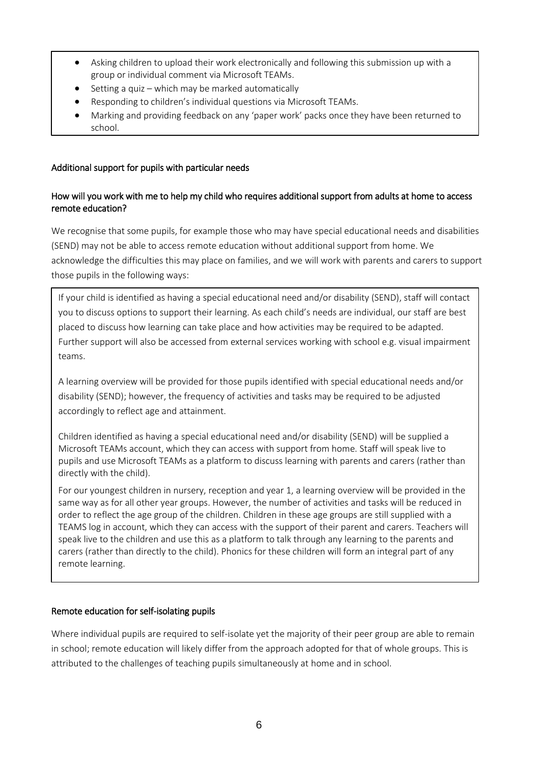- Asking children to upload their work electronically and following this submission up with a group or individual comment via Microsoft TEAMs.
- Setting a quiz which may be marked automatically
- Responding to children's individual questions via Microsoft TEAMs.
- Marking and providing feedback on any 'paper work' packs once they have been returned to school.

# Additional support for pupils with particular needs

## How will you work with me to help my child who requires additional support from adults at home to access remote education?

We recognise that some pupils, for example those who may have special educational needs and disabilities (SEND) may not be able to access remote education without additional support from home. We acknowledge the difficulties this may place on families, and we will work with parents and carers to support those pupils in the following ways:

If your child is identified as having a special educational need and/or disability (SEND), staff will contact you to discuss options to support their learning. As each child's needs are individual, our staff are best placed to discuss how learning can take place and how activities may be required to be adapted. Further support will also be accessed from external services working with school e.g. visual impairment teams.

A learning overview will be provided for those pupils identified with special educational needs and/or disability (SEND); however, the frequency of activities and tasks may be required to be adjusted accordingly to reflect age and attainment.

Children identified as having a special educational need and/or disability (SEND) will be supplied a Microsoft TEAMs account, which they can access with support from home. Staff will speak live to pupils and use Microsoft TEAMs as a platform to discuss learning with parents and carers (rather than directly with the child).

For our youngest children in nursery, reception and year 1, a learning overview will be provided in the same way as for all other year groups. However, the number of activities and tasks will be reduced in order to reflect the age group of the children. Children in these age groups are still supplied with a TEAMS log in account, which they can access with the support of their parent and carers. Teachers will speak live to the children and use this as a platform to talk through any learning to the parents and carers (rather than directly to the child). Phonics for these children will form an integral part of any remote learning.

## <span id="page-5-0"></span>Remote education for self-isolating pupils

Where individual pupils are required to self-isolate yet the majority of their peer group are able to remain in school; remote education will likely differ from the approach adopted for that of whole groups. This is attributed to the challenges of teaching pupils simultaneously at home and in school.